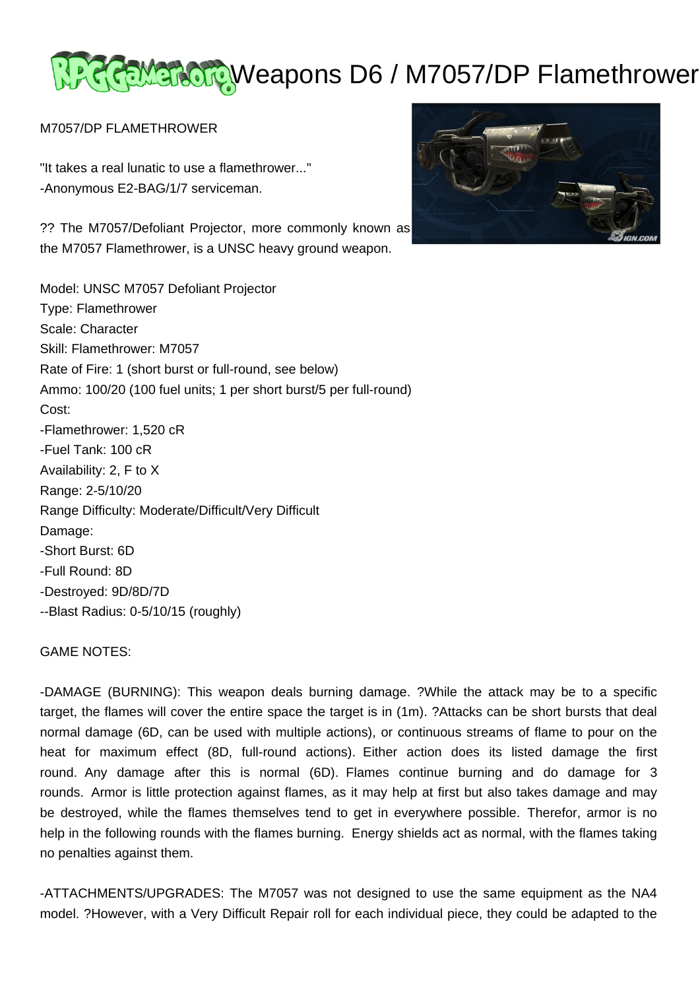# स्ट्रेल्ट्र अक्टू Weapons D6 / M7057/DP Flamethrower

## M7057/DP FLAMETHROWER

"It takes a real lunatic to use a flamethrower..." -Anonymous E2-BAG/1/7 serviceman.

?? The M7057/Defoliant Projector, more commonly known as the M7057 Flamethrower, is a UNSC heavy ground weapon.

Model: UNSC M7057 Defoliant Projector Type: Flamethrower Scale: Character Skill: Flamethrower: M7057 Rate of Fire: 1 (short burst or full-round, see below) Ammo: 100/20 (100 fuel units; 1 per short burst/5 per full-round) Cost: -Flamethrower: 1,520 cR -Fuel Tank: 100 cR Availability: 2, F to X Range: 2-5/10/20 Range Difficulty: Moderate/Difficult/Very Difficult Damage: -Short Burst: 6D -Full Round: 8D -Destroyed: 9D/8D/7D --Blast Radius: 0-5/10/15 (roughly)



## GAME NOTES:

-DAMAGE (BURNING): This weapon deals burning damage. ?While the attack may be to a specific target, the flames will cover the entire space the target is in (1m). ?Attacks can be short bursts that deal normal damage (6D, can be used with multiple actions), or continuous streams of flame to pour on the heat for maximum effect (8D, full-round actions). Either action does its listed damage the first round. Any damage after this is normal (6D). Flames continue burning and do damage for 3 rounds. Armor is little protection against flames, as it may help at first but also takes damage and may be destroyed, while the flames themselves tend to get in everywhere possible. Therefor, armor is no help in the following rounds with the flames burning. Energy shields act as normal, with the flames taking no penalties against them.

-ATTACHMENTS/UPGRADES: The M7057 was not designed to use the same equipment as the NA4 model. ?However, with a Very Difficult Repair roll for each individual piece, they could be adapted to the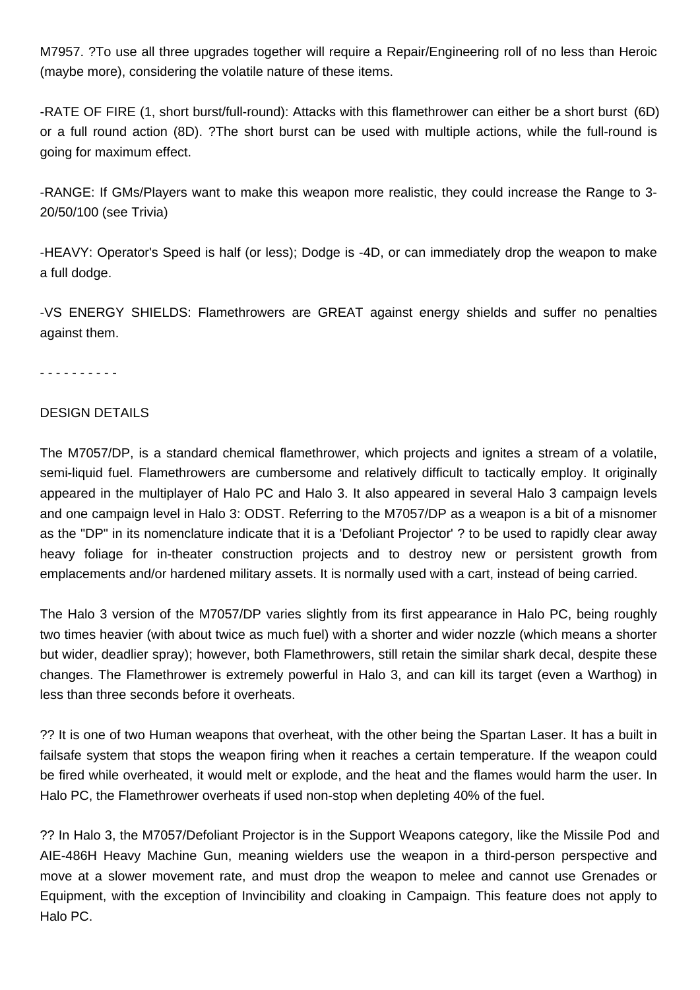M7957. ?To use all three upgrades together will require a Repair/Engineering roll of no less than Heroic (maybe more), considering the volatile nature of these items.

-RATE OF FIRE (1, short burst/full-round): Attacks with this flamethrower can either be a short burst (6D) or a full round action (8D). ?The short burst can be used with multiple actions, while the full-round is going for maximum effect.

-RANGE: If GMs/Players want to make this weapon more realistic, they could increase the Range to 3- 20/50/100 (see Trivia)

-HEAVY: Operator's Speed is half (or less); Dodge is -4D, or can immediately drop the weapon to make a full dodge.

-VS ENERGY SHIELDS: Flamethrowers are GREAT against energy shields and suffer no penalties against them.

- - - - - - - - - -

## DESIGN DETAILS

The M7057/DP, is a standard chemical flamethrower, which projects and ignites a stream of a volatile, semi-liquid fuel. Flamethrowers are cumbersome and relatively difficult to tactically employ. It originally appeared in the multiplayer of Halo PC and Halo 3. It also appeared in several Halo 3 campaign levels and one campaign level in Halo 3: ODST. Referring to the M7057/DP as a weapon is a bit of a misnomer as the "DP" in its nomenclature indicate that it is a 'Defoliant Projector' ? to be used to rapidly clear away heavy foliage for in-theater construction projects and to destroy new or persistent growth from emplacements and/or hardened military assets. It is normally used with a cart, instead of being carried.

The Halo 3 version of the M7057/DP varies slightly from its first appearance in Halo PC, being roughly two times heavier (with about twice as much fuel) with a shorter and wider nozzle (which means a shorter but wider, deadlier spray); however, both Flamethrowers, still retain the similar shark decal, despite these changes. The Flamethrower is extremely powerful in Halo 3, and can kill its target (even a Warthog) in less than three seconds before it overheats.

?? It is one of two Human weapons that overheat, with the other being the Spartan Laser. It has a built in failsafe system that stops the weapon firing when it reaches a certain temperature. If the weapon could be fired while overheated, it would melt or explode, and the heat and the flames would harm the user. In Halo PC, the Flamethrower overheats if used non-stop when depleting 40% of the fuel.

?? In Halo 3, the M7057/Defoliant Projector is in the Support Weapons category, like the Missile Pod and AIE-486H Heavy Machine Gun, meaning wielders use the weapon in a third-person perspective and move at a slower movement rate, and must drop the weapon to melee and cannot use Grenades or Equipment, with the exception of Invincibility and cloaking in Campaign. This feature does not apply to Halo PC.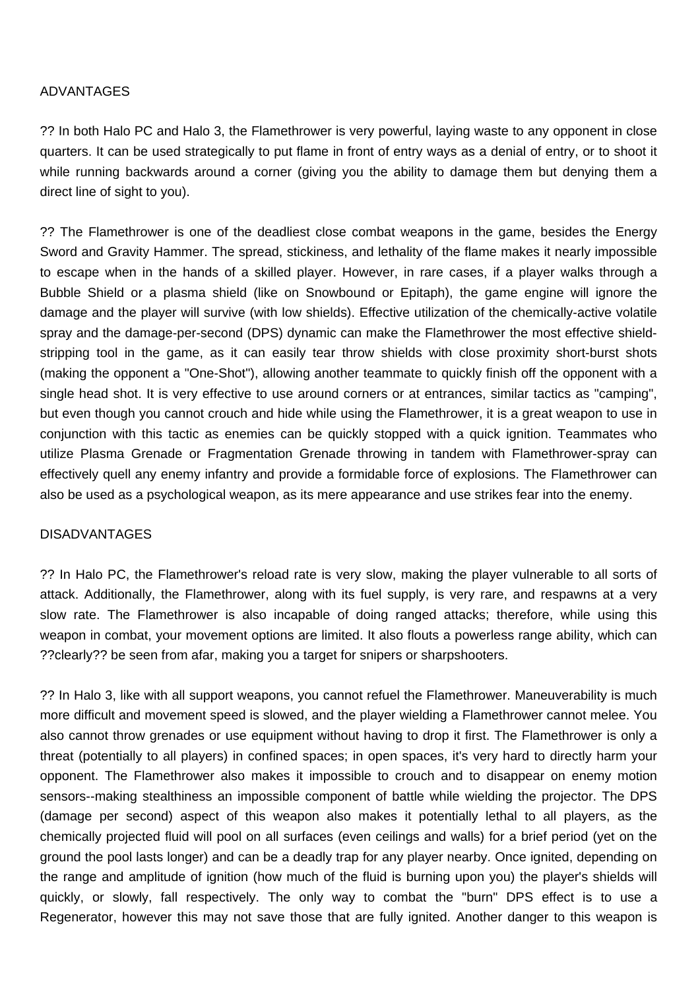## ADVANTAGES

?? In both Halo PC and Halo 3, the Flamethrower is very powerful, laying waste to any opponent in close quarters. It can be used strategically to put flame in front of entry ways as a denial of entry, or to shoot it while running backwards around a corner (giving you the ability to damage them but denying them a direct line of sight to you).

?? The Flamethrower is one of the deadliest close combat weapons in the game, besides the Energy Sword and Gravity Hammer. The spread, stickiness, and lethality of the flame makes it nearly impossible to escape when in the hands of a skilled player. However, in rare cases, if a player walks through a Bubble Shield or a plasma shield (like on Snowbound or Epitaph), the game engine will ignore the damage and the player will survive (with low shields). Effective utilization of the chemically-active volatile spray and the damage-per-second (DPS) dynamic can make the Flamethrower the most effective shieldstripping tool in the game, as it can easily tear throw shields with close proximity short-burst shots (making the opponent a "One-Shot"), allowing another teammate to quickly finish off the opponent with a single head shot. It is very effective to use around corners or at entrances, similar tactics as "camping", but even though you cannot crouch and hide while using the Flamethrower, it is a great weapon to use in conjunction with this tactic as enemies can be quickly stopped with a quick ignition. Teammates who utilize Plasma Grenade or Fragmentation Grenade throwing in tandem with Flamethrower-spray can effectively quell any enemy infantry and provide a formidable force of explosions. The Flamethrower can also be used as a psychological weapon, as its mere appearance and use strikes fear into the enemy.

#### DISADVANTAGES

?? In Halo PC, the Flamethrower's reload rate is very slow, making the player vulnerable to all sorts of attack. Additionally, the Flamethrower, along with its fuel supply, is very rare, and respawns at a very slow rate. The Flamethrower is also incapable of doing ranged attacks; therefore, while using this weapon in combat, your movement options are limited. It also flouts a powerless range ability, which can ??clearly?? be seen from afar, making you a target for snipers or sharpshooters.

?? In Halo 3, like with all support weapons, you cannot refuel the Flamethrower. Maneuverability is much more difficult and movement speed is slowed, and the player wielding a Flamethrower cannot melee. You also cannot throw grenades or use equipment without having to drop it first. The Flamethrower is only a threat (potentially to all players) in confined spaces; in open spaces, it's very hard to directly harm your opponent. The Flamethrower also makes it impossible to crouch and to disappear on enemy motion sensors--making stealthiness an impossible component of battle while wielding the projector. The DPS (damage per second) aspect of this weapon also makes it potentially lethal to all players, as the chemically projected fluid will pool on all surfaces (even ceilings and walls) for a brief period (yet on the ground the pool lasts longer) and can be a deadly trap for any player nearby. Once ignited, depending on the range and amplitude of ignition (how much of the fluid is burning upon you) the player's shields will quickly, or slowly, fall respectively. The only way to combat the "burn" DPS effect is to use a Regenerator, however this may not save those that are fully ignited. Another danger to this weapon is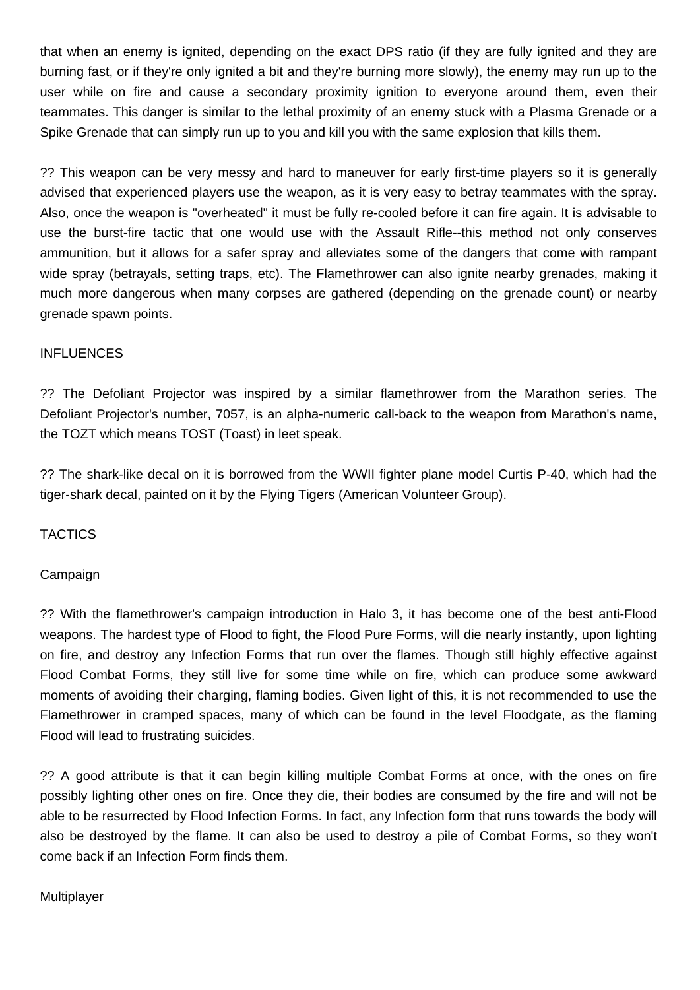that when an enemy is ignited, depending on the exact DPS ratio (if they are fully ignited and they are burning fast, or if they're only ignited a bit and they're burning more slowly), the enemy may run up to the user while on fire and cause a secondary proximity ignition to everyone around them, even their teammates. This danger is similar to the lethal proximity of an enemy stuck with a Plasma Grenade or a Spike Grenade that can simply run up to you and kill you with the same explosion that kills them.

?? This weapon can be very messy and hard to maneuver for early first-time players so it is generally advised that experienced players use the weapon, as it is very easy to betray teammates with the spray. Also, once the weapon is "overheated" it must be fully re-cooled before it can fire again. It is advisable to use the burst-fire tactic that one would use with the Assault Rifle--this method not only conserves ammunition, but it allows for a safer spray and alleviates some of the dangers that come with rampant wide spray (betrayals, setting traps, etc). The Flamethrower can also ignite nearby grenades, making it much more dangerous when many corpses are gathered (depending on the grenade count) or nearby grenade spawn points.

## INFLUENCES

?? The Defoliant Projector was inspired by a similar flamethrower from the Marathon series. The Defoliant Projector's number, 7057, is an alpha-numeric call-back to the weapon from Marathon's name, the TOZT which means TOST (Toast) in leet speak.

?? The shark-like decal on it is borrowed from the WWII fighter plane model Curtis P-40, which had the tiger-shark decal, painted on it by the Flying Tigers (American Volunteer Group).

## **TACTICS**

## Campaign

?? With the flamethrower's campaign introduction in Halo 3, it has become one of the best anti-Flood weapons. The hardest type of Flood to fight, the Flood Pure Forms, will die nearly instantly, upon lighting on fire, and destroy any Infection Forms that run over the flames. Though still highly effective against Flood Combat Forms, they still live for some time while on fire, which can produce some awkward moments of avoiding their charging, flaming bodies. Given light of this, it is not recommended to use the Flamethrower in cramped spaces, many of which can be found in the level Floodgate, as the flaming Flood will lead to frustrating suicides.

?? A good attribute is that it can begin killing multiple Combat Forms at once, with the ones on fire possibly lighting other ones on fire. Once they die, their bodies are consumed by the fire and will not be able to be resurrected by Flood Infection Forms. In fact, any Infection form that runs towards the body will also be destroyed by the flame. It can also be used to destroy a pile of Combat Forms, so they won't come back if an Infection Form finds them.

## Multiplayer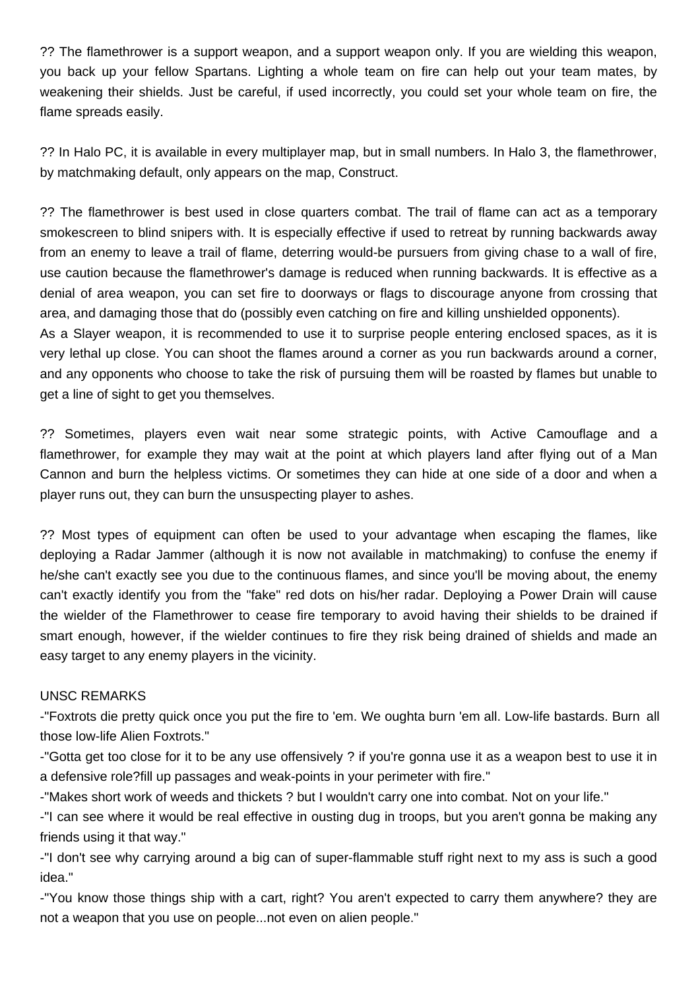?? The flamethrower is a support weapon, and a support weapon only. If you are wielding this weapon, you back up your fellow Spartans. Lighting a whole team on fire can help out your team mates, by weakening their shields. Just be careful, if used incorrectly, you could set your whole team on fire, the flame spreads easily.

?? In Halo PC, it is available in every multiplayer map, but in small numbers. In Halo 3, the flamethrower, by matchmaking default, only appears on the map, Construct.

?? The flamethrower is best used in close quarters combat. The trail of flame can act as a temporary smokescreen to blind snipers with. It is especially effective if used to retreat by running backwards away from an enemy to leave a trail of flame, deterring would-be pursuers from giving chase to a wall of fire, use caution because the flamethrower's damage is reduced when running backwards. It is effective as a denial of area weapon, you can set fire to doorways or flags to discourage anyone from crossing that area, and damaging those that do (possibly even catching on fire and killing unshielded opponents). As a Slayer weapon, it is recommended to use it to surprise people entering enclosed spaces, as it is

very lethal up close. You can shoot the flames around a corner as you run backwards around a corner, and any opponents who choose to take the risk of pursuing them will be roasted by flames but unable to get a line of sight to get you themselves.

?? Sometimes, players even wait near some strategic points, with Active Camouflage and a flamethrower, for example they may wait at the point at which players land after flying out of a Man Cannon and burn the helpless victims. Or sometimes they can hide at one side of a door and when a player runs out, they can burn the unsuspecting player to ashes.

?? Most types of equipment can often be used to your advantage when escaping the flames, like deploying a Radar Jammer (although it is now not available in matchmaking) to confuse the enemy if he/she can't exactly see you due to the continuous flames, and since you'll be moving about, the enemy can't exactly identify you from the "fake" red dots on his/her radar. Deploying a Power Drain will cause the wielder of the Flamethrower to cease fire temporary to avoid having their shields to be drained if smart enough, however, if the wielder continues to fire they risk being drained of shields and made an easy target to any enemy players in the vicinity.

## UNSC REMARKS

-"Foxtrots die pretty quick once you put the fire to 'em. We oughta burn 'em all. Low-life bastards. Burn all those low-life Alien Foxtrots."

-"Gotta get too close for it to be any use offensively ? if you're gonna use it as a weapon best to use it in a defensive role?fill up passages and weak-points in your perimeter with fire."

-"Makes short work of weeds and thickets ? but I wouldn't carry one into combat. Not on your life."

-"I can see where it would be real effective in ousting dug in troops, but you aren't gonna be making any friends using it that way."

-"I don't see why carrying around a big can of super-flammable stuff right next to my ass is such a good idea."

-"You know those things ship with a cart, right? You aren't expected to carry them anywhere? they are not a weapon that you use on people...not even on alien people."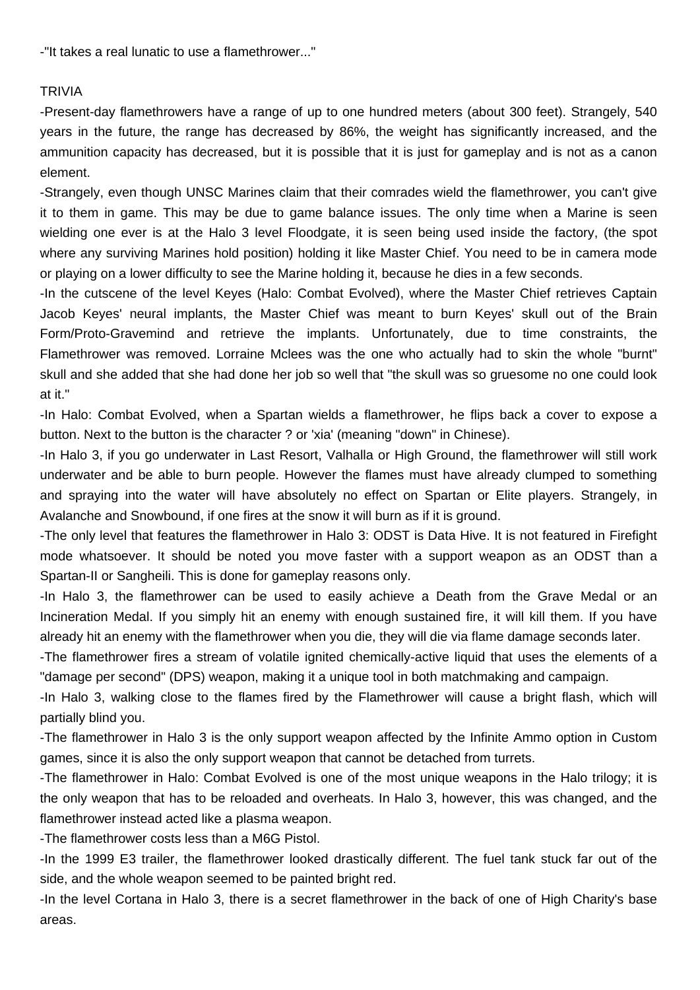-"It takes a real lunatic to use a flamethrower..."

## TRIVIA

-Present-day flamethrowers have a range of up to one hundred meters (about 300 feet). Strangely, 540 years in the future, the range has decreased by 86%, the weight has significantly increased, and the ammunition capacity has decreased, but it is possible that it is just for gameplay and is not as a canon element.

-Strangely, even though UNSC Marines claim that their comrades wield the flamethrower, you can't give it to them in game. This may be due to game balance issues. The only time when a Marine is seen wielding one ever is at the Halo 3 level Floodgate, it is seen being used inside the factory, (the spot where any surviving Marines hold position) holding it like Master Chief. You need to be in camera mode or playing on a lower difficulty to see the Marine holding it, because he dies in a few seconds.

-In the cutscene of the level Keyes (Halo: Combat Evolved), where the Master Chief retrieves Captain Jacob Keyes' neural implants, the Master Chief was meant to burn Keyes' skull out of the Brain Form/Proto-Gravemind and retrieve the implants. Unfortunately, due to time constraints, the Flamethrower was removed. Lorraine Mclees was the one who actually had to skin the whole "burnt" skull and she added that she had done her job so well that "the skull was so gruesome no one could look at it."

-In Halo: Combat Evolved, when a Spartan wields a flamethrower, he flips back a cover to expose a button. Next to the button is the character ? or 'xia' (meaning "down" in Chinese).

-In Halo 3, if you go underwater in Last Resort, Valhalla or High Ground, the flamethrower will still work underwater and be able to burn people. However the flames must have already clumped to something and spraying into the water will have absolutely no effect on Spartan or Elite players. Strangely, in Avalanche and Snowbound, if one fires at the snow it will burn as if it is ground.

-The only level that features the flamethrower in Halo 3: ODST is Data Hive. It is not featured in Firefight mode whatsoever. It should be noted you move faster with a support weapon as an ODST than a Spartan-II or Sangheili. This is done for gameplay reasons only.

-In Halo 3, the flamethrower can be used to easily achieve a Death from the Grave Medal or an Incineration Medal. If you simply hit an enemy with enough sustained fire, it will kill them. If you have already hit an enemy with the flamethrower when you die, they will die via flame damage seconds later.

-The flamethrower fires a stream of volatile ignited chemically-active liquid that uses the elements of a "damage per second" (DPS) weapon, making it a unique tool in both matchmaking and campaign.

-In Halo 3, walking close to the flames fired by the Flamethrower will cause a bright flash, which will partially blind you.

-The flamethrower in Halo 3 is the only support weapon affected by the Infinite Ammo option in Custom games, since it is also the only support weapon that cannot be detached from turrets.

-The flamethrower in Halo: Combat Evolved is one of the most unique weapons in the Halo trilogy; it is the only weapon that has to be reloaded and overheats. In Halo 3, however, this was changed, and the flamethrower instead acted like a plasma weapon.

-The flamethrower costs less than a M6G Pistol.

-In the 1999 E3 trailer, the flamethrower looked drastically different. The fuel tank stuck far out of the side, and the whole weapon seemed to be painted bright red.

-In the level Cortana in Halo 3, there is a secret flamethrower in the back of one of High Charity's base areas.